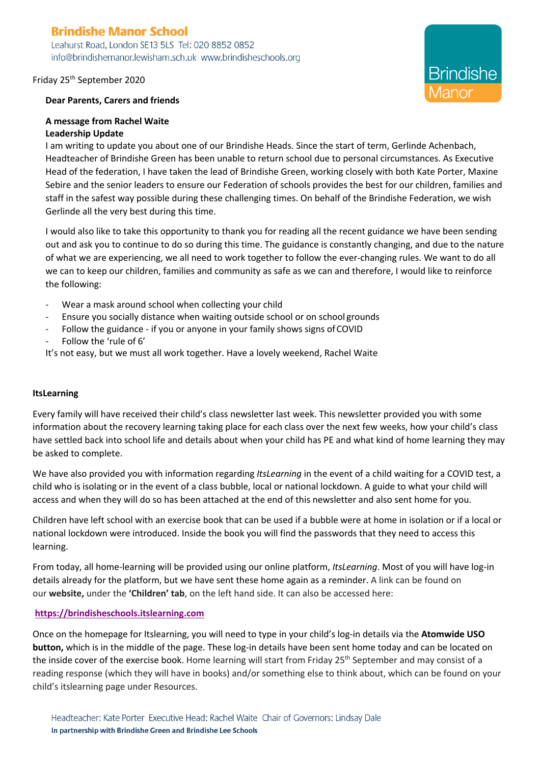# **Brindishe Manor School**

Leahurst Road, London SE13 5LS Tel: 020 8852 0852 info@brindishemanor.lewisham.sch.uk www.brindisheschools.org

# Friday 25th September 2020

# **Dear Parents, Carers and friends**

# **A message from Rachel Waite Leadership Update**

I am writing to update you about one of our Brindishe Heads. Since the start of term, Gerlinde Achenbach, Headteacher of Brindishe Green has been unable to return school due to personal circumstances. As Executive Head of the federation, I have taken the lead of Brindishe Green, working closely with both Kate Porter, Maxine Sebire and the senior leaders to ensure our Federation of schools provides the best for our children, families and staff in the safest way possible during these challenging times. On behalf of the Brindishe Federation, we wish Gerlinde all the very best during this time.

I would also like to take this opportunity to thank you for reading all the recent guidance we have been sending out and ask you to continue to do so during this time. The guidance is constantly changing, and due to the nature of what we are experiencing, we all need to work together to follow the ever-changing rules. We want to do all we can to keep our children, families and community as safe as we can and therefore, I would like to reinforce the following:

- Wear a mask around school when collecting your child
- Ensure you socially distance when waiting outside school or on school grounds
- Follow the guidance if you or anyone in your family shows signs of COVID
- Follow the 'rule of 6'

It's not easy, but we must all work together. Have a lovely weekend, Rachel Waite

# **ItsLearning**

Every family will have received their child's class newsletter last week. This newsletter provided you with some information about the recovery learning taking place for each class over the next few weeks, how your child's class have settled back into school life and details about when your child has PE and what kind of home learning they may be asked to complete.

We have also provided you with information regarding *ItsLearning* in the event of a child waiting for a COVID test, a child who is isolating or in the event of a class bubble, local or national lockdown. A guide to what your child will access and when they will do so has been attached at the end of this newsletter and also sent home for you.

Children have left school with an exercise book that can be used if a bubble were at home in isolation or if a local or national lockdown were introduced. Inside the book you will find the passwords that they need to access this learning.

From today, all home-learning will be provided using our online platform, *ItsLearning*. Most of you will have log-in details already for the platform, but we have sent these home again as a reminder. A link can be found on our **website,** under the **'Children' tab**, on the left hand side. It can also be accessed here:

# **https://brindisheschools.itslearning.com**

Once on the homepage for Itslearning, you will need to type in your child's log-in details via the **Atomwide USO button,** which is in the middle of the page. These log-in details have been sent home today and can be located on the inside cover of the exercise book. Home learning will start from Friday 25<sup>th</sup> September and may consist of a reading response (which they will have in books) and/or something else to think about, which can be found on your child's itslearning page under Resources.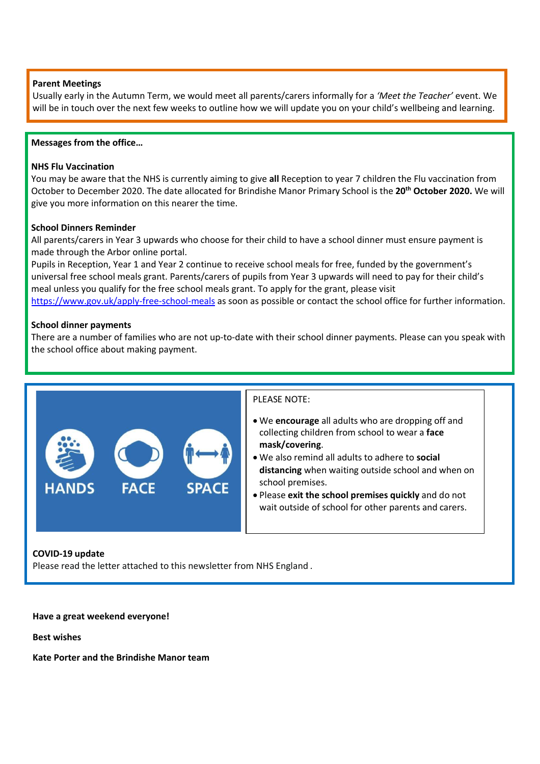# **Parent Meetings**

Usually early in the Autumn Term, we would meet all parents/carers informally for a *'Meet the Teacher'* event. We will be in touch over the next few weeks to outline how we will update you on your child's wellbeing and learning.

#### **Messages from the office…**

#### **NHS Flu Vaccination**

You may be aware that the NHS is currently aiming to give **all** Reception to year 7 children the Flu vaccination from October to December 2020. The date allocated for Brindishe Manor Primary School is the **20th October 2020.** We will give you more information on this nearer the time.

# **School Dinners Reminder**

All parents/carers in Year 3 upwards who choose for their child to have a school dinner must ensure payment is made through the Arbor online portal.

Pupils in Reception, Year 1 and Year 2 continue to receive school meals for free, funded by the government's universal free school meals grant. Parents/carers of pupils from Year 3 upwards will need to pay for their child's meal unless you qualify for the free school meals grant. To apply for the grant, please visit https://www.gov.uk/apply-free-school-meals as soon as possible or contact the school office for further information.

#### **School dinner payments**

There are a number of families who are not up-to-date with their school dinner payments. Please can you speak with the school office about making payment.



# PLEASE NOTE:

- We **encourage** all adults who are dropping off and collecting children from school to wear a **face mask/covering**.
- We also remind all adults to adhere to **social distancing** when waiting outside school and when on school premises.
- Please **exit the school premises quickly** and do not wait outside of school for other parents and carers.

# **COVID-19 update**

Please read the letter attached to this newsletter from NHS England *.*

**Have a great weekend everyone!** 

**Best wishes**

**Kate Porter and the Brindishe Manor team**